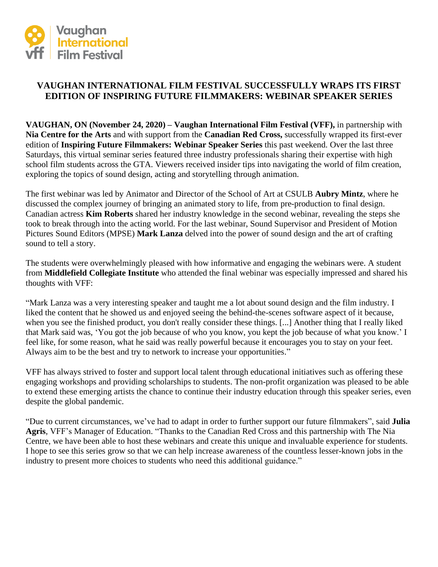

# **VAUGHAN INTERNATIONAL FILM FESTIVAL SUCCESSFULLY WRAPS ITS FIRST EDITION OF INSPIRING FUTURE FILMMAKERS: WEBINAR SPEAKER SERIES**

**VAUGHAN, ON (November 24, 2020) – Vaughan International Film Festival (VFF),** in partnership with **Nia Centre for the Arts** and with support from the **Canadian Red Cross,** successfully wrapped its first-ever edition of **Inspiring Future Filmmakers: Webinar Speaker Series** this past weekend. Over the last three Saturdays, this virtual seminar series featured three industry professionals sharing their expertise with high school film students across the GTA. Viewers received insider tips into navigating the world of film creation, exploring the topics of sound design, acting and storytelling through animation.

The first webinar was led by Animator and Director of the School of Art at CSULB **Aubry Mintz**, where he discussed the complex journey of bringing an animated story to life, from pre-production to final design. Canadian actress **Kim Roberts** shared her industry knowledge in the second webinar, revealing the steps she took to break through into the acting world. For the last webinar, Sound Supervisor and President of Motion Pictures Sound Editors (MPSE) **Mark Lanza** delved into the power of sound design and the art of crafting sound to tell a story.

The students were overwhelmingly pleased with how informative and engaging the webinars were. A student from **Middlefield Collegiate Institute** who attended the final webinar was especially impressed and shared his thoughts with VFF:

"Mark Lanza was a very interesting speaker and taught me a lot about sound design and the film industry. I liked the content that he showed us and enjoyed seeing the behind-the-scenes software aspect of it because, when you see the finished product, you don't really consider these things. [...] Another thing that I really liked that Mark said was, 'You got the job because of who you know, you kept the job because of what you know.' I feel like, for some reason, what he said was really powerful because it encourages you to stay on your feet. Always aim to be the best and try to network to increase your opportunities."

VFF has always strived to foster and support local talent through educational initiatives such as offering these engaging workshops and providing scholarships to students. The non-profit organization was pleased to be able to extend these emerging artists the chance to continue their industry education through this speaker series, even despite the global pandemic.

"Due to current circumstances, we've had to adapt in order to further support our future filmmakers", said **Julia Agris**, VFF's Manager of Education. "Thanks to the Canadian Red Cross and this partnership with The Nia Centre, we have been able to host these webinars and create this unique and invaluable experience for students. I hope to see this series grow so that we can help increase awareness of the countless lesser-known jobs in the industry to present more choices to students who need this additional guidance."